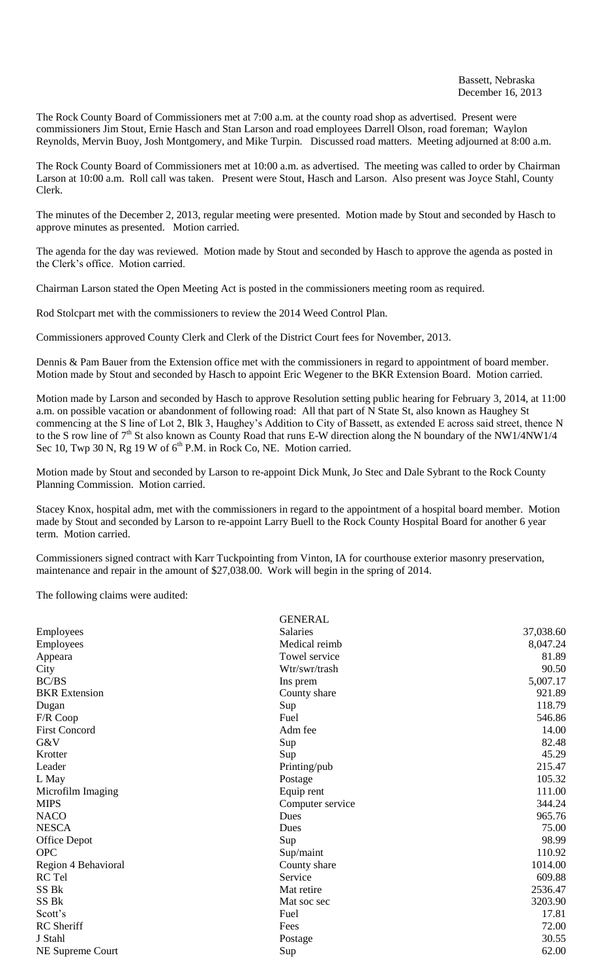The Rock County Board of Commissioners met at 7:00 a.m. at the county road shop as advertised. Present were commissioners Jim Stout, Ernie Hasch and Stan Larson and road employees Darrell Olson, road foreman; Waylon Reynolds, Mervin Buoy, Josh Montgomery, and Mike Turpin. Discussed road matters. Meeting adjourned at 8:00 a.m.

The Rock County Board of Commissioners met at 10:00 a.m. as advertised. The meeting was called to order by Chairman Larson at 10:00 a.m. Roll call was taken. Present were Stout, Hasch and Larson. Also present was Joyce Stahl, County Clerk.

The minutes of the December 2, 2013, regular meeting were presented. Motion made by Stout and seconded by Hasch to approve minutes as presented. Motion carried.

The agenda for the day was reviewed. Motion made by Stout and seconded by Hasch to approve the agenda as posted in the Clerk's office. Motion carried.

Chairman Larson stated the Open Meeting Act is posted in the commissioners meeting room as required.

Rod Stolcpart met with the commissioners to review the 2014 Weed Control Plan.

Commissioners approved County Clerk and Clerk of the District Court fees for November, 2013.

Dennis & Pam Bauer from the Extension office met with the commissioners in regard to appointment of board member. Motion made by Stout and seconded by Hasch to appoint Eric Wegener to the BKR Extension Board. Motion carried.

Motion made by Larson and seconded by Hasch to approve Resolution setting public hearing for February 3, 2014, at 11:00 a.m. on possible vacation or abandonment of following road: All that part of N State St, also known as Haughey St commencing at the S line of Lot 2, Blk 3, Haughey's Addition to City of Bassett, as extended E across said street, thence N to the S row line of 7<sup>th</sup> St also known as County Road that runs E-W direction along the N boundary of the NW1/4NW1/4 Sec 10, Twp 30 N, Rg 19 W of  $6<sup>th</sup>$  P.M. in Rock Co, NE. Motion carried.

Motion made by Stout and seconded by Larson to re-appoint Dick Munk, Jo Stec and Dale Sybrant to the Rock County Planning Commission. Motion carried.

Stacey Knox, hospital adm, met with the commissioners in regard to the appointment of a hospital board member. Motion made by Stout and seconded by Larson to re-appoint Larry Buell to the Rock County Hospital Board for another 6 year term. Motion carried.

Commissioners signed contract with Karr Tuckpointing from Vinton, IA for courthouse exterior masonry preservation, maintenance and repair in the amount of \$27,038.00. Work will begin in the spring of 2014.

The following claims were audited:

|                      | <b>GENERAL</b>   |           |
|----------------------|------------------|-----------|
| Employees            | <b>Salaries</b>  | 37,038.60 |
| Employees            | Medical reimb    | 8,047.24  |
| Appeara              | Towel service    | 81.89     |
| City                 | Wtr/swr/trash    | 90.50     |
| BC/BS                | Ins prem         | 5,007.17  |
| <b>BKR</b> Extension | County share     | 921.89    |
| Dugan                | Sup              | 118.79    |
| F/R Coop             | Fuel             | 546.86    |
| <b>First Concord</b> | Adm fee          | 14.00     |
| G&V                  | Sup              | 82.48     |
| Krotter              | Sup              | 45.29     |
| Leader               | Printing/pub     | 215.47    |
| L May                | Postage          | 105.32    |
| Microfilm Imaging    | Equip rent       | 111.00    |
| <b>MIPS</b>          | Computer service | 344.24    |
| <b>NACO</b>          | Dues             | 965.76    |
| <b>NESCA</b>         | Dues             | 75.00     |
| <b>Office Depot</b>  | Sup              | 98.99     |
| <b>OPC</b>           | Sup/maint        | 110.92    |
| Region 4 Behavioral  | County share     | 1014.00   |
| RC Tel               | Service          | 609.88    |
| SS Bk                | Mat retire       | 2536.47   |
| SS <sub>Bk</sub>     | Mat soc sec      | 3203.90   |
| Scott's              | Fuel             | 17.81     |
| RC Sheriff           | Fees             | 72.00     |
| J Stahl              | Postage          | 30.55     |
| NE Supreme Court     | Sup              | 62.00     |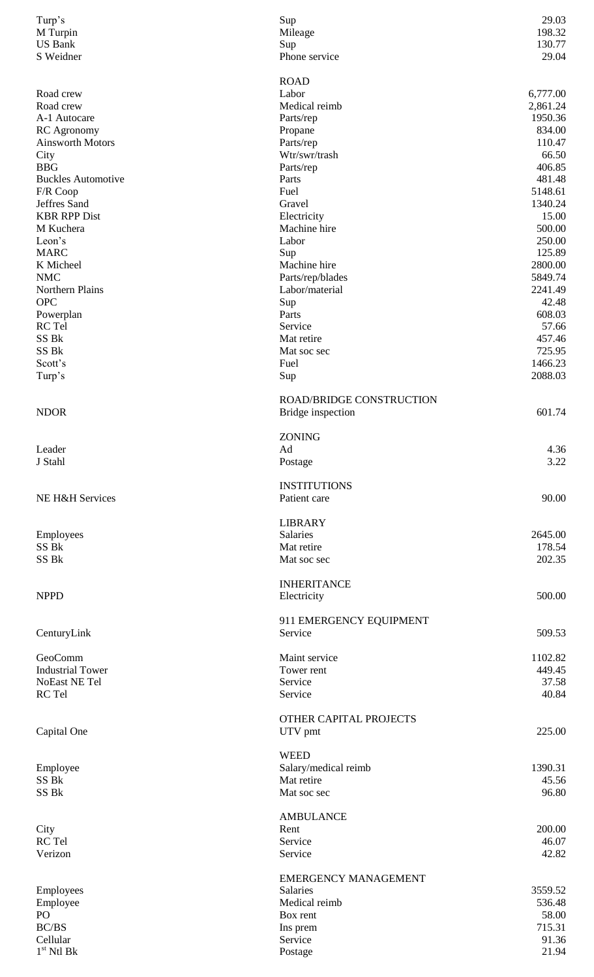| Turp's<br>M Turpin                 | Sup<br>Mileage                    | 29.03<br>198.32   |
|------------------------------------|-----------------------------------|-------------------|
| <b>US Bank</b><br>S Weidner        | Sup<br>Phone service              | 130.77<br>29.04   |
|                                    |                                   |                   |
|                                    | <b>ROAD</b>                       |                   |
| Road crew                          | Labor                             | 6,777.00          |
| Road crew                          | Medical reimb                     | 2,861.24          |
| A-1 Autocare<br><b>RC</b> Agronomy | Parts/rep                         | 1950.36<br>834.00 |
| <b>Ainsworth Motors</b>            | Propane<br>Parts/rep              | 110.47            |
| City                               | Wtr/swr/trash                     | 66.50             |
| <b>BBG</b>                         | Parts/rep                         | 406.85            |
| <b>Buckles Automotive</b>          | Parts                             | 481.48            |
| F/R Coop                           | Fuel                              | 5148.61           |
| Jeffres Sand                       | Gravel                            | 1340.24           |
| <b>KBR RPP Dist</b>                | Electricity                       | 15.00             |
| M Kuchera                          | Machine hire                      | 500.00            |
| Leon's                             | Labor                             | 250.00            |
| <b>MARC</b>                        | Sup                               | 125.89            |
| K Micheel                          | Machine hire                      | 2800.00           |
| <b>NMC</b>                         | Parts/rep/blades                  | 5849.74           |
| <b>Northern Plains</b>             | Labor/material                    | 2241.49           |
| <b>OPC</b>                         | Sup                               | 42.48             |
| Powerplan<br>RC Tel                | Parts<br>Service                  | 608.03<br>57.66   |
| SS Bk                              | Mat retire                        | 457.46            |
| SS Bk                              | Mat soc sec                       | 725.95            |
| Scott's                            | Fuel                              | 1466.23           |
| Turp's                             | Sup                               | 2088.03           |
|                                    |                                   |                   |
|                                    | ROAD/BRIDGE CONSTRUCTION          |                   |
| <b>NDOR</b>                        | Bridge inspection                 | 601.74            |
|                                    |                                   |                   |
|                                    | <b>ZONING</b>                     |                   |
| Leader<br>J Stahl                  | Ad<br>Postage                     | 4.36<br>3.22      |
|                                    |                                   |                   |
|                                    | <b>INSTITUTIONS</b>               |                   |
| NE H&H Services                    | Patient care                      | 90.00             |
|                                    |                                   |                   |
|                                    | <b>LIBRARY</b>                    |                   |
| Employees                          | Salaries                          | 2645.00           |
| SS Bk                              | Mat retire                        | 178.54            |
| SS <sub>Bk</sub>                   | Mat soc sec                       | 202.35            |
|                                    |                                   |                   |
| <b>NPPD</b>                        | <b>INHERITANCE</b><br>Electricity | 500.00            |
|                                    |                                   |                   |
|                                    | 911 EMERGENCY EQUIPMENT           |                   |
| CenturyLink                        | Service                           | 509.53            |
|                                    |                                   |                   |
| GeoComm                            | Maint service                     | 1102.82           |
| <b>Industrial Tower</b>            | Tower rent                        | 449.45            |
| NoEast NE Tel                      | Service                           | 37.58             |
| RC Tel                             | Service                           | 40.84             |
|                                    |                                   |                   |
|                                    | OTHER CAPITAL PROJECTS            |                   |
| Capital One                        | UTV pmt                           | 225.00            |
|                                    | <b>WEED</b>                       |                   |
| Employee                           | Salary/medical reimb              | 1390.31           |
| SS Bk                              | Mat retire                        | 45.56             |
| SS Bk                              | Mat soc sec                       | 96.80             |
|                                    |                                   |                   |
|                                    | <b>AMBULANCE</b>                  |                   |
| City                               | Rent                              | 200.00            |
| RC Tel                             | Service                           | 46.07             |
| Verizon                            | Service                           | 42.82             |
|                                    | <b>EMERGENCY MANAGEMENT</b>       |                   |
| Employees                          | Salaries                          | 3559.52           |
| Employee                           | Medical reimb                     | 536.48            |
| PO                                 | Box rent                          | 58.00             |
| BC/BS                              | Ins prem                          | 715.31            |
| Cellular                           | Service                           | 91.36             |
| $1st$ Ntl Bk                       | Postage                           | 21.94             |